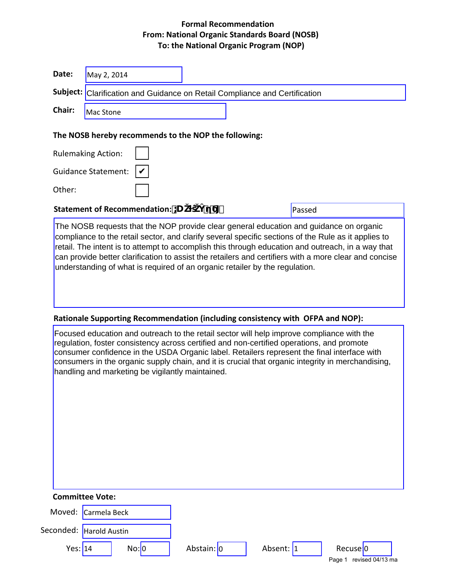# **Formal Recommendation From: National Organic Standards Board (NOSB) To: the National Organic Program (NOP)**

| Date:                     | May 2, 2014                                                                                                                                                                                                                                                                                                                                                                                                                                                                                |        |  |  |  |  |  |
|---------------------------|--------------------------------------------------------------------------------------------------------------------------------------------------------------------------------------------------------------------------------------------------------------------------------------------------------------------------------------------------------------------------------------------------------------------------------------------------------------------------------------------|--------|--|--|--|--|--|
|                           | Subject: Clarification and Guidance on Retail Compliance and Certification                                                                                                                                                                                                                                                                                                                                                                                                                 |        |  |  |  |  |  |
| Chair:                    | <b>Mac Stone</b>                                                                                                                                                                                                                                                                                                                                                                                                                                                                           |        |  |  |  |  |  |
|                           | The NOSB hereby recommends to the NOP the following:                                                                                                                                                                                                                                                                                                                                                                                                                                       |        |  |  |  |  |  |
| <b>Rulemaking Action:</b> |                                                                                                                                                                                                                                                                                                                                                                                                                                                                                            |        |  |  |  |  |  |
|                           | <b>Guidance Statement:</b>                                                                                                                                                                                                                                                                                                                                                                                                                                                                 |        |  |  |  |  |  |
| Other:                    |                                                                                                                                                                                                                                                                                                                                                                                                                                                                                            |        |  |  |  |  |  |
|                           | Statement of Recommendation: U                                                                                                                                                                                                                                                                                                                                                                                                                                                             | Passed |  |  |  |  |  |
|                           | The NOSB requests that the NOP provide clear general education and guidance on organic<br>compliance to the retail sector, and clarify several specific sections of the Rule as it applies to<br>retail. The intent is to attempt to accomplish this through education and outreach, in a way that<br>can provide better clarification to assist the retailers and certifiers with a more clear and concise<br>understanding of what is required of an organic retailer by the regulation. |        |  |  |  |  |  |
|                           |                                                                                                                                                                                                                                                                                                                                                                                                                                                                                            |        |  |  |  |  |  |
|                           | Rationale Supporting Recommendation (including consistency with OFPA and NOP):<br>Focused education and outreach to the retail sector will help improve compliance with the                                                                                                                                                                                                                                                                                                                |        |  |  |  |  |  |

**Committee Vote:**

| Moved: Carmela Beck |                           |       |            |           |                          |
|---------------------|---------------------------|-------|------------|-----------|--------------------------|
|                     | Seconded:   Harold Austin |       |            |           |                          |
| Yes: 14             |                           | No: 0 | Abstain: 0 | Absent: 1 | Recuse <sup>1</sup> 0    |
|                     |                           |       |            |           | revised 04/13 ma<br>Page |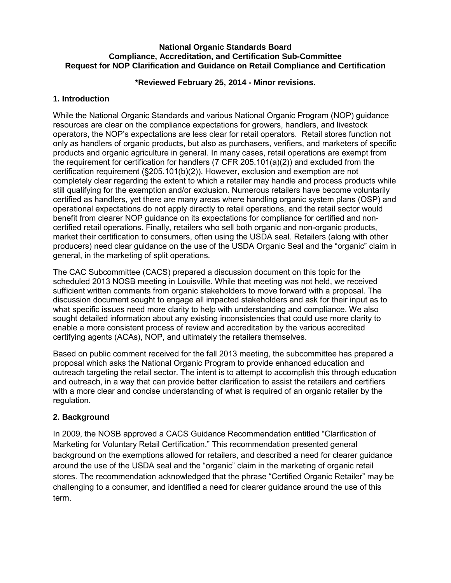#### **National Organic Standards Board Compliance, Accreditation, and Certification Sub-Committee Request for NOP Clarification and Guidance on Retail Compliance and Certification**

#### **\*Reviewed February 25, 2014 - Minor revisions.**

#### **1. Introduction**

While the National Organic Standards and various National Organic Program (NOP) guidance resources are clear on the compliance expectations for growers, handlers, and livestock operators, the NOP's expectations are less clear for retail operators. Retail stores function not only as handlers of organic products, but also as purchasers, verifiers, and marketers of specific products and organic agriculture in general. In many cases, retail operations are exempt from the requirement for certification for handlers  $(7$  CFR 205.101 $(a)(2)$ ) and excluded from the certification requirement (§205.101(b)(2)). However, exclusion and exemption are not completely clear regarding the extent to which a retailer may handle and process products while still qualifying for the exemption and/or exclusion. Numerous retailers have become voluntarily certified as handlers, yet there are many areas where handling organic system plans (OSP) and operational expectations do not apply directly to retail operations, and the retail sector would benefit from clearer NOP guidance on its expectations for compliance for certified and noncertified retail operations. Finally, retailers who sell both organic and non-organic products, market their certification to consumers, often using the USDA seal. Retailers (along with other producers) need clear guidance on the use of the USDA Organic Seal and the "organic" claim in general, in the marketing of split operations.

The CAC Subcommittee (CACS) prepared a discussion document on this topic for the scheduled 2013 NOSB meeting in Louisville. While that meeting was not held, we received sufficient written comments from organic stakeholders to move forward with a proposal. The discussion document sought to engage all impacted stakeholders and ask for their input as to what specific issues need more clarity to help with understanding and compliance. We also sought detailed information about any existing inconsistencies that could use more clarity to enable a more consistent process of review and accreditation by the various accredited certifying agents (ACAs), NOP, and ultimately the retailers themselves.

Based on public comment received for the fall 2013 meeting, the subcommittee has prepared a proposal which asks the National Organic Program to provide enhanced education and outreach targeting the retail sector. The intent is to attempt to accomplish this through education and outreach, in a way that can provide better clarification to assist the retailers and certifiers with a more clear and concise understanding of what is required of an organic retailer by the regulation.

#### **2. Background**

In 2009, the NOSB approved a CACS Guidance Recommendation entitled "Clarification of Marketing for Voluntary Retail Certification." This recommendation presented general background on the exemptions allowed for retailers, and described a need for clearer guidance around the use of the USDA seal and the "organic" claim in the marketing of organic retail stores. The recommendation acknowledged that the phrase "Certified Organic Retailer" may be challenging to a consumer, and identified a need for clearer guidance around the use of this term.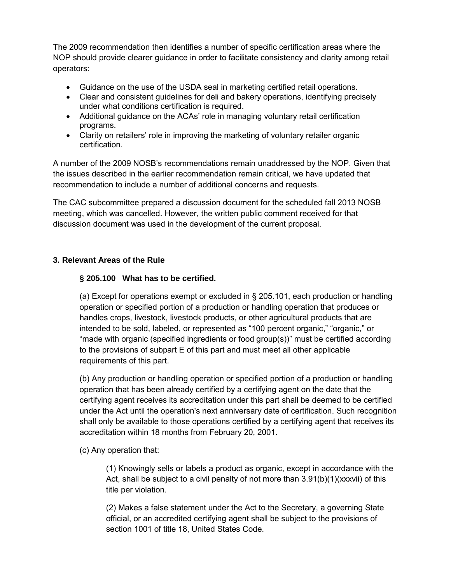The 2009 recommendation then identifies a number of specific certification areas where the NOP should provide clearer guidance in order to facilitate consistency and clarity among retail operators:

- Guidance on the use of the USDA seal in marketing certified retail operations.
- Clear and consistent guidelines for deli and bakery operations, identifying precisely under what conditions certification is required.
- Additional guidance on the ACAs' role in managing voluntary retail certification programs.
- Clarity on retailers' role in improving the marketing of voluntary retailer organic certification.

A number of the 2009 NOSB's recommendations remain unaddressed by the NOP. Given that the issues described in the earlier recommendation remain critical, we have updated that recommendation to include a number of additional concerns and requests.

The CAC subcommittee prepared a discussion document for the scheduled fall 2013 NOSB meeting, which was cancelled. However, the written public comment received for that discussion document was used in the development of the current proposal.

## **3. Relevant Areas of the Rule**

#### **§ 205.100 What has to be certified.**

(a) Except for operations exempt or excluded in § 205.101, each production or handling operation or specified portion of a production or handling operation that produces or handles crops, livestock, livestock products, or other agricultural products that are intended to be sold, labeled, or represented as "100 percent organic," "organic," or "made with organic (specified ingredients or food group(s))" must be certified according to the provisions of subpart E of this part and must meet all other applicable requirements of this part.

(b) Any production or handling operation or specified portion of a production or handling operation that has been already certified by a certifying agent on the date that the certifying agent receives its accreditation under this part shall be deemed to be certified under the Act until the operation's next anniversary date of certification. Such recognition shall only be available to those operations certified by a certifying agent that receives its accreditation within 18 months from February 20, 2001.

#### (c) Any operation that:

(1) Knowingly sells or labels a product as organic, except in accordance with the Act, shall be subject to a civil penalty of not more than  $3.91(b)(1)(xxxxii)$  of this title per violation.

(2) Makes a false statement under the Act to the Secretary, a governing State official, or an accredited certifying agent shall be subject to the provisions of section 1001 of title 18, United States Code.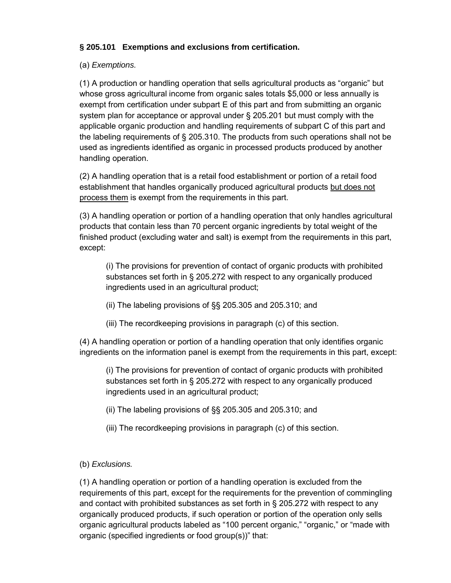# **§ 205.101 Exemptions and exclusions from certification.**

## (a) *Exemptions.*

(1) A production or handling operation that sells agricultural products as "organic" but whose gross agricultural income from organic sales totals \$5,000 or less annually is exempt from certification under subpart E of this part and from submitting an organic system plan for acceptance or approval under § 205.201 but must comply with the applicable organic production and handling requirements of subpart C of this part and the labeling requirements of § 205.310. The products from such operations shall not be used as ingredients identified as organic in processed products produced by another handling operation.

(2) A handling operation that is a retail food establishment or portion of a retail food establishment that handles organically produced agricultural products but does not process them is exempt from the requirements in this part.

(3) A handling operation or portion of a handling operation that only handles agricultural products that contain less than 70 percent organic ingredients by total weight of the finished product (excluding water and salt) is exempt from the requirements in this part, except:

(i) The provisions for prevention of contact of organic products with prohibited substances set forth in § 205.272 with respect to any organically produced ingredients used in an agricultural product;

- (ii) The labeling provisions of §§ 205.305 and 205.310; and
- (iii) The recordkeeping provisions in paragraph (c) of this section.

(4) A handling operation or portion of a handling operation that only identifies organic ingredients on the information panel is exempt from the requirements in this part, except:

(i) The provisions for prevention of contact of organic products with prohibited substances set forth in § 205.272 with respect to any organically produced ingredients used in an agricultural product;

- (ii) The labeling provisions of §§ 205.305 and 205.310; and
- (iii) The recordkeeping provisions in paragraph (c) of this section.
- (b) *Exclusions.*

(1) A handling operation or portion of a handling operation is excluded from the requirements of this part, except for the requirements for the prevention of commingling and contact with prohibited substances as set forth in § 205.272 with respect to any organically produced products, if such operation or portion of the operation only sells organic agricultural products labeled as "100 percent organic," "organic," or "made with organic (specified ingredients or food group(s))" that: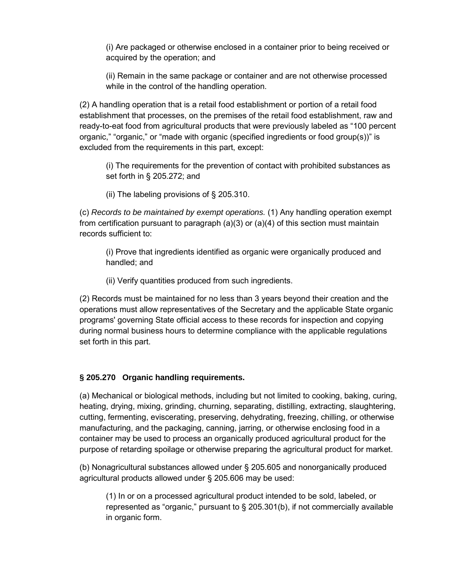(i) Are packaged or otherwise enclosed in a container prior to being received or acquired by the operation; and

(ii) Remain in the same package or container and are not otherwise processed while in the control of the handling operation.

(2) A handling operation that is a retail food establishment or portion of a retail food establishment that processes, on the premises of the retail food establishment, raw and ready-to-eat food from agricultural products that were previously labeled as "100 percent organic," "organic," or "made with organic (specified ingredients or food group(s))" is excluded from the requirements in this part, except:

(i) The requirements for the prevention of contact with prohibited substances as set forth in § 205.272; and

(ii) The labeling provisions of § 205.310.

(c) *Records to be maintained by exempt operations.* (1) Any handling operation exempt from certification pursuant to paragraph  $(a)(3)$  or  $(a)(4)$  of this section must maintain records sufficient to:

(i) Prove that ingredients identified as organic were organically produced and handled; and

(ii) Verify quantities produced from such ingredients.

(2) Records must be maintained for no less than 3 years beyond their creation and the operations must allow representatives of the Secretary and the applicable State organic programs' governing State official access to these records for inspection and copying during normal business hours to determine compliance with the applicable regulations set forth in this part.

## **§ 205.270 Organic handling requirements.**

(a) Mechanical or biological methods, including but not limited to cooking, baking, curing, heating, drying, mixing, grinding, churning, separating, distilling, extracting, slaughtering, cutting, fermenting, eviscerating, preserving, dehydrating, freezing, chilling, or otherwise manufacturing, and the packaging, canning, jarring, or otherwise enclosing food in a container may be used to process an organically produced agricultural product for the purpose of retarding spoilage or otherwise preparing the agricultural product for market.

(b) Nonagricultural substances allowed under § 205.605 and nonorganically produced agricultural products allowed under § 205.606 may be used:

(1) In or on a processed agricultural product intended to be sold, labeled, or represented as "organic," pursuant to § 205.301(b), if not commercially available in organic form.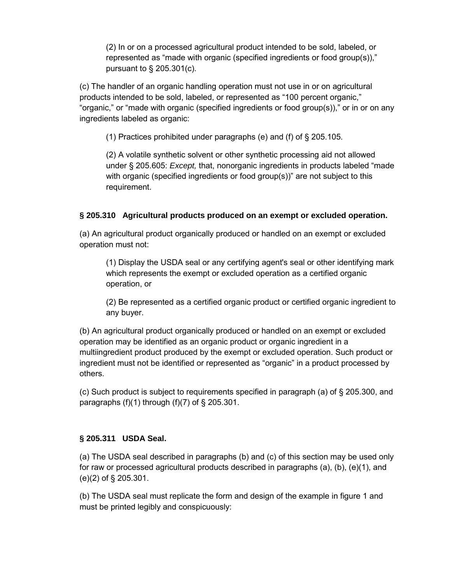(2) In or on a processed agricultural product intended to be sold, labeled, or represented as "made with organic (specified ingredients or food group(s))," pursuant to § 205.301(c).

(c) The handler of an organic handling operation must not use in or on agricultural products intended to be sold, labeled, or represented as "100 percent organic," "organic," or "made with organic (specified ingredients or food group(s))," or in or on any ingredients labeled as organic:

(1) Practices prohibited under paragraphs (e) and (f) of § 205.105.

(2) A volatile synthetic solvent or other synthetic processing aid not allowed under § 205.605: *Except,* that, nonorganic ingredients in products labeled "made with organic (specified ingredients or food group(s))" are not subject to this requirement.

# **§ 205.310 Agricultural products produced on an exempt or excluded operation.**

(a) An agricultural product organically produced or handled on an exempt or excluded operation must not:

(1) Display the USDA seal or any certifying agent's seal or other identifying mark which represents the exempt or excluded operation as a certified organic operation, or

(2) Be represented as a certified organic product or certified organic ingredient to any buyer.

(b) An agricultural product organically produced or handled on an exempt or excluded operation may be identified as an organic product or organic ingredient in a multiingredient product produced by the exempt or excluded operation. Such product or ingredient must not be identified or represented as "organic" in a product processed by others.

(c) Such product is subject to requirements specified in paragraph (a) of § 205.300, and paragraphs  $(f)(1)$  through  $(f)(7)$  of § 205.301.

## **§ 205.311 USDA Seal.**

(a) The USDA seal described in paragraphs (b) and (c) of this section may be used only for raw or processed agricultural products described in paragraphs (a), (b), (e)(1), and (e)(2) of § 205.301.

(b) The USDA seal must replicate the form and design of the example in figure 1 and must be printed legibly and conspicuously: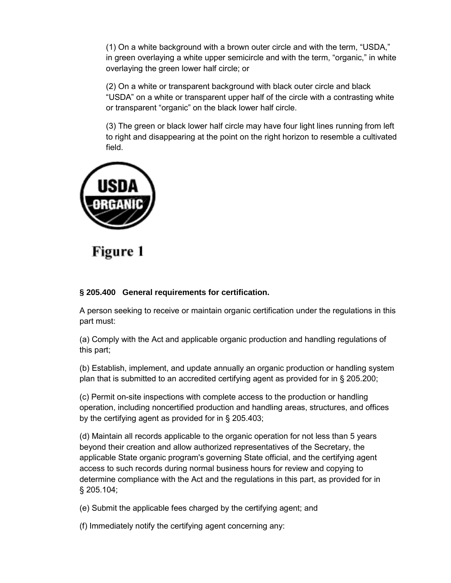(1) On a white background with a brown outer circle and with the term, "USDA," in green overlaying a white upper semicircle and with the term, "organic," in white overlaying the green lower half circle; or

(2) On a white or transparent background with black outer circle and black "USDA" on a white or transparent upper half of the circle with a contrasting white or transparent "organic" on the black lower half circle.

(3) The green or black lower half circle may have four light lines running from left to right and disappearing at the point on the right horizon to resemble a cultivated field.



# Figure 1

## **§ 205.400 General requirements for certification.**

A person seeking to receive or maintain organic certification under the regulations in this part must:

(a) Comply with the Act and applicable organic production and handling regulations of this part;

(b) Establish, implement, and update annually an organic production or handling system plan that is submitted to an accredited certifying agent as provided for in § 205.200;

(c) Permit on-site inspections with complete access to the production or handling operation, including noncertified production and handling areas, structures, and offices by the certifying agent as provided for in § 205.403;

(d) Maintain all records applicable to the organic operation for not less than 5 years beyond their creation and allow authorized representatives of the Secretary, the applicable State organic program's governing State official, and the certifying agent access to such records during normal business hours for review and copying to determine compliance with the Act and the regulations in this part, as provided for in § 205.104;

(e) Submit the applicable fees charged by the certifying agent; and

(f) Immediately notify the certifying agent concerning any: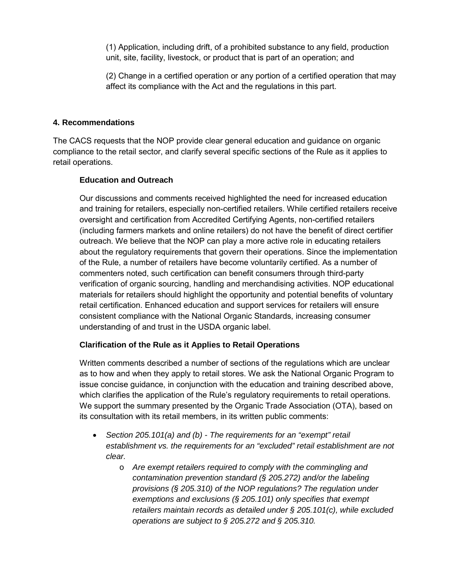(1) Application, including drift, of a prohibited substance to any field, production unit, site, facility, livestock, or product that is part of an operation; and

(2) Change in a certified operation or any portion of a certified operation that may affect its compliance with the Act and the regulations in this part.

#### **4. Recommendations**

The CACS requests that the NOP provide clear general education and guidance on organic compliance to the retail sector, and clarify several specific sections of the Rule as it applies to retail operations.

## **Education and Outreach**

Our discussions and comments received highlighted the need for increased education and training for retailers, especially non-certified retailers. While certified retailers receive oversight and certification from Accredited Certifying Agents, non-certified retailers (including farmers markets and online retailers) do not have the benefit of direct certifier outreach. We believe that the NOP can play a more active role in educating retailers about the regulatory requirements that govern their operations. Since the implementation of the Rule, a number of retailers have become voluntarily certified. As a number of commenters noted, such certification can benefit consumers through third-party verification of organic sourcing, handling and merchandising activities. NOP educational materials for retailers should highlight the opportunity and potential benefits of voluntary retail certification. Enhanced education and support services for retailers will ensure consistent compliance with the National Organic Standards, increasing consumer understanding of and trust in the USDA organic label.

## **Clarification of the Rule as it Applies to Retail Operations**

Written comments described a number of sections of the regulations which are unclear as to how and when they apply to retail stores. We ask the National Organic Program to issue concise guidance, in conjunction with the education and training described above, which clarifies the application of the Rule's regulatory requirements to retail operations. We support the summary presented by the Organic Trade Association (OTA), based on its consultation with its retail members, in its written public comments:

- *Section 205.101(a) and (b) The requirements for an "exempt" retail establishment vs. the requirements for an "excluded" retail establishment are not clear.*
	- o *Are exempt retailers required to comply with the commingling and contamination prevention standard (§ 205.272) and/or the labeling provisions (§ 205.310) of the NOP regulations? The regulation under exemptions and exclusions (§ 205.101) only specifies that exempt retailers maintain records as detailed under § 205.101(c), while excluded operations are subject to § 205.272 and § 205.310.*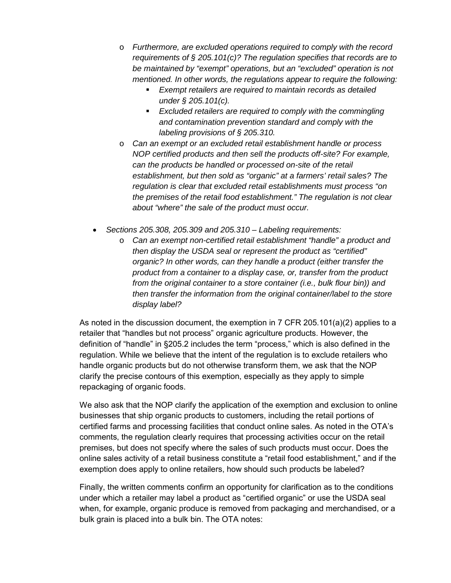- o *Furthermore, are excluded operations required to comply with the record requirements of § 205.101(c)? The regulation specifies that records are to be maintained by "exempt" operations, but an "excluded" operation is not mentioned. In other words, the regulations appear to require the following:*
	- *Exempt retailers are required to maintain records as detailed under § 205.101(c).*
	- *Excluded retailers are required to comply with the commingling and contamination prevention standard and comply with the labeling provisions of § 205.310.*
- o *Can an exempt or an excluded retail establishment handle or process NOP certified products and then sell the products off-site? For example, can the products be handled or processed on-site of the retail establishment, but then sold as "organic" at a farmers' retail sales? The regulation is clear that excluded retail establishments must process "on the premises of the retail food establishment." The regulation is not clear about "where" the sale of the product must occur.*
- *Sections 205.308, 205.309 and 205.310 Labeling requirements:*
	- o *Can an exempt non-certified retail establishment "handle" a product and then display the USDA seal or represent the product as "certified" organic? In other words, can they handle a product (either transfer the product from a container to a display case, or, transfer from the product from the original container to a store container (i.e., bulk flour bin)) and then transfer the information from the original container/label to the store display label?*

As noted in the discussion document, the exemption in 7 CFR 205.101(a)(2) applies to a retailer that "handles but not process" organic agriculture products. However, the definition of "handle" in §205.2 includes the term "process," which is also defined in the regulation. While we believe that the intent of the regulation is to exclude retailers who handle organic products but do not otherwise transform them, we ask that the NOP clarify the precise contours of this exemption, especially as they apply to simple repackaging of organic foods.

We also ask that the NOP clarify the application of the exemption and exclusion to online businesses that ship organic products to customers, including the retail portions of certified farms and processing facilities that conduct online sales. As noted in the OTA's comments, the regulation clearly requires that processing activities occur on the retail premises, but does not specify where the sales of such products must occur. Does the online sales activity of a retail business constitute a "retail food establishment," and if the exemption does apply to online retailers, how should such products be labeled?

Finally, the written comments confirm an opportunity for clarification as to the conditions under which a retailer may label a product as "certified organic" or use the USDA seal when, for example, organic produce is removed from packaging and merchandised, or a bulk grain is placed into a bulk bin. The OTA notes: